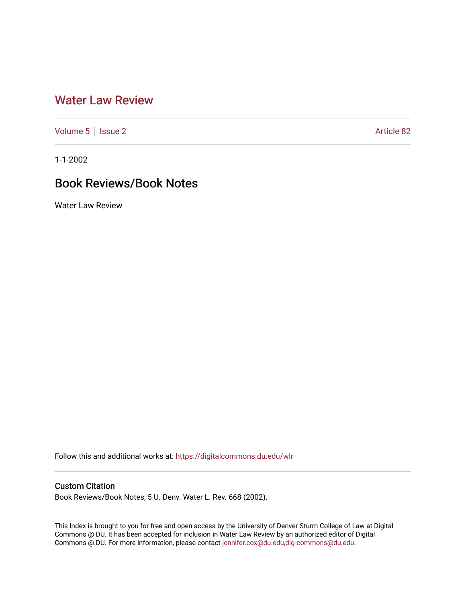## [Water Law Review](https://digitalcommons.du.edu/wlr)

[Volume 5](https://digitalcommons.du.edu/wlr/vol5) | [Issue 2](https://digitalcommons.du.edu/wlr/vol5/iss2) Article 82

1-1-2002

## Book Reviews/Book Notes

Water Law Review

Follow this and additional works at: [https://digitalcommons.du.edu/wlr](https://digitalcommons.du.edu/wlr?utm_source=digitalcommons.du.edu%2Fwlr%2Fvol5%2Fiss2%2F82&utm_medium=PDF&utm_campaign=PDFCoverPages) 

## Custom Citation

Book Reviews/Book Notes, 5 U. Denv. Water L. Rev. 668 (2002).

This Index is brought to you for free and open access by the University of Denver Sturm College of Law at Digital Commons @ DU. It has been accepted for inclusion in Water Law Review by an authorized editor of Digital Commons @ DU. For more information, please contact [jennifer.cox@du.edu,dig-commons@du.edu.](mailto:jennifer.cox@du.edu,dig-commons@du.edu)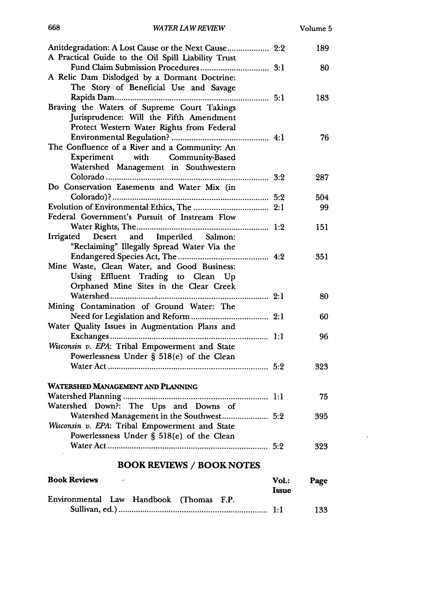|                                                      |              | 189  |
|------------------------------------------------------|--------------|------|
| A Practical Guide to the Oil Spill Liability Trust   |              |      |
|                                                      |              | 80   |
| A Relic Dam Dislodged by a Dormant Doctrine:         |              |      |
| The Story of Beneficial Use and Savage               |              |      |
|                                                      |              | 183  |
| Braving the Waters of Supreme Court Takings          |              |      |
| Jurisprudence: Will the Fifth Amendment              |              |      |
| Protect Western Water Rights from Federal            |              |      |
|                                                      |              | 76   |
| The Confluence of a River and a Community: An        |              |      |
| Experiment with Community-Based                      |              |      |
| Watershed Management in Southwestern                 |              |      |
|                                                      |              | 287  |
| Do Conservation Easements and Water Mix (in          |              |      |
|                                                      |              | 504  |
|                                                      |              | 99   |
| Federal Government's Pursuit of Instream Flow        |              |      |
|                                                      |              | 151  |
| Irrigated Desert and Imperiled Salmon:               |              |      |
| "Reclaiming" Illegally Spread Water Via the          |              |      |
|                                                      |              | 351  |
| Mine Waste, Clean Water, and Good Business:          |              |      |
| Using Effluent Trading to Clean Up                   |              |      |
| Orphaned Mine Sites in the Clear Creek               |              |      |
|                                                      |              | 80   |
| Mining Contamination of Ground Water: The            |              |      |
|                                                      |              | 60   |
| Water Quality Issues in Augmentation Plans and       |              |      |
|                                                      |              | 96   |
| Wisconsin v. EPA: Tribal Empowerment and State       |              |      |
| Powerlessness Under § 518(e) of the Clean            |              |      |
|                                                      |              | 323  |
|                                                      |              |      |
| WATERSHED MANAGEMENT AND PLANNING                    |              |      |
|                                                      |              | 75   |
| Watershed Down?: The Ups and Downs of                |              |      |
| Watershed Management in the Southwest 5:2            |              | 395  |
| Wisconsin v. EPA: Tribal Empowerment and State       |              |      |
| Powerlessness Under § 518(e) of the Clean            |              |      |
| 5:2                                                  |              | 323  |
|                                                      |              |      |
| <b>BOOK REVIEWS / BOOK NOTES</b>                     |              |      |
| <b>Book Reviews</b>                                  | Vol.:        | Page |
|                                                      | <b>Issue</b> |      |
| Handbook<br>Environmental<br>Law<br>(Thomas)<br>F.P. |              |      |

668

 $\epsilon$ 

133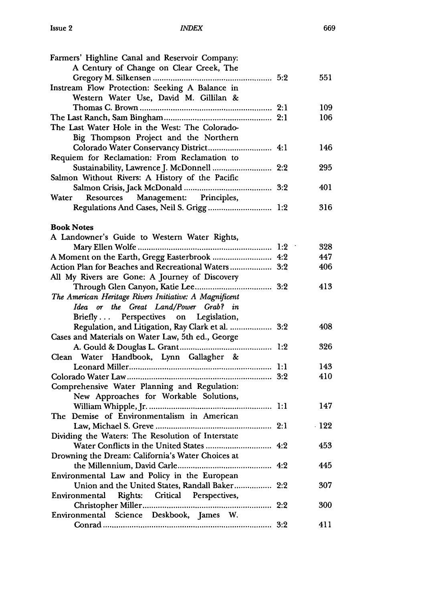| Farmers' Highline Canal and Reservoir Company:         |     |             |
|--------------------------------------------------------|-----|-------------|
| A Century of Change on Clear Creek, The                |     |             |
|                                                        |     | 551         |
| Instream Flow Protection: Seeking A Balance in         |     |             |
| Western Water Use, David M. Gillilan &                 |     |             |
|                                                        |     | 109         |
|                                                        |     | 106         |
| The Last Water Hole in the West: The Colorado-         |     |             |
| Big Thompson Project and the Northern                  |     |             |
| Colorado Water Conservancy District 4:1                |     | 146         |
| Requiem for Reclamation: From Reclamation to           |     |             |
| Sustainability, Lawrence J. McDonnell  2:2             |     | 295         |
| Salmon Without Rivers: A History of the Pacific        |     |             |
|                                                        |     | 401         |
| Water Resources Management: Principles,                |     |             |
| Regulations And Cases, Neil S. Grigg  1:2              |     | 316         |
|                                                        |     |             |
| <b>Book Notes</b>                                      |     |             |
| A Landowner's Guide to Western Water Rights,           |     |             |
|                                                        |     | 328         |
| A Moment on the Earth, Gregg Easterbrook  4:2          |     | 447         |
| Action Plan for Beaches and Recreational Waters 3:2    |     | 406         |
| All My Rivers are Gone: A Journey of Discovery         |     |             |
|                                                        |     | 413         |
| The American Heritage Rivers Initiative: A Magnificent |     |             |
| Idea or the Great Land/Power Grab? in                  |     |             |
| Briefly Perspectives on Legislation,                   |     |             |
| Regulation, and Litigation, Ray Clark et al.  3:2      |     | 408         |
| Cases and Materials on Water Law, 5th ed., George      |     |             |
|                                                        |     | 326         |
| Clean Water Handbook, Lynn Gallagher &                 |     |             |
|                                                        |     | 143         |
|                                                        |     | 410         |
| Comprehensive Water Planning and Regulation:           |     |             |
| New Approaches for Workable Solutions,                 |     |             |
|                                                        |     | 147         |
| The Demise of Environmentalism in American             |     |             |
|                                                        |     | $\cdot$ 122 |
| Dividing the Waters: The Resolution of Interstate      |     |             |
|                                                        |     | 453         |
| Drowning the Dream: California's Water Choices at      |     |             |
|                                                        |     | 445         |
| Environmental Law and Policy in the European           |     |             |
| Union and the United States, Randall Baker             | 2:2 | 307         |
| Rights: Critical Perspectives,<br>Environmental        |     |             |
| .                                                      | 2:2 | 300         |
| Environmental Science Deskbook, James W.               |     |             |
|                                                        | 3:2 | 411         |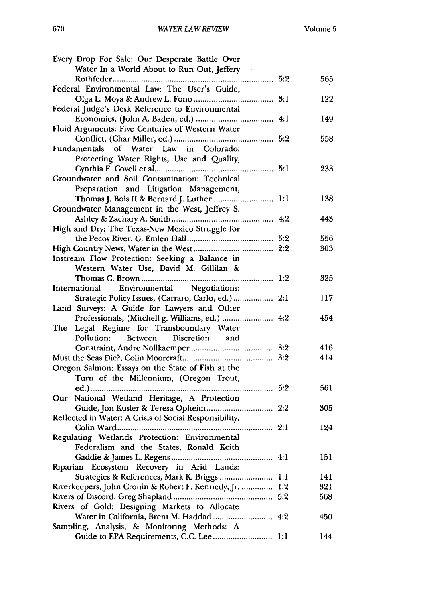| Every Drop For Sale: Our Desperate Battle Over          |     |     |
|---------------------------------------------------------|-----|-----|
| Water In a World About to Run Out, Jeffery              |     |     |
|                                                         |     | 565 |
| Federal Environmental Law: The User's Guide,            |     |     |
|                                                         |     | 122 |
| Federal Judge's Desk Reference to Environmental         |     |     |
|                                                         |     | 149 |
| Fluid Arguments: Five Centuries of Western Water        |     |     |
|                                                         |     |     |
|                                                         |     | 558 |
| Fundamentals of Water Law in Colorado:                  |     |     |
| Protecting Water Rights, Use and Quality,               |     |     |
|                                                         |     | 233 |
| Groundwater and Soil Contamination: Technical           |     |     |
| Preparation and Litigation Management,                  |     |     |
| Thomas J. Bois II & Bernard J. Luther  1:1              |     | 138 |
| Groundwater Management in the West, Jeffrey S.          |     |     |
|                                                         |     | 443 |
| High and Dry: The Texas-New Mexico Struggle for         |     |     |
|                                                         |     | 556 |
|                                                         |     | 303 |
| Instream Flow Protection: Seeking a Balance in          |     |     |
| Western Water Use, David M. Gillilan &                  |     |     |
|                                                         |     | 325 |
|                                                         |     |     |
| Environmental Negotiations:<br>International            |     |     |
| Strategic Policy Issues, (Carraro, Carlo, ed.)  2:1     |     | 117 |
| Land Surveys: A Guide for Lawyers and Other             |     |     |
| Professionals, (Mitchell g. Williams, ed.)  4:2         |     | 454 |
| The Legal Regime for Transboundary Water                |     |     |
| Between Discretion and<br>Pollution:                    |     |     |
|                                                         |     | 416 |
|                                                         |     | 414 |
| Oregon Salmon: Essays on the State of Fish at the       |     |     |
| Turn of the Millennium, (Oregon Trout,                  |     |     |
|                                                         |     | 561 |
| Our National Wetland Heritage, A Protection             |     |     |
|                                                         |     | 305 |
| Reflected in Water: A Crisis of Social Responsibility,  |     |     |
|                                                         |     | 124 |
| Regulating Wetlands Protection: Environmental           |     |     |
| Federalism and the States, Ronald Keith                 |     |     |
|                                                         |     |     |
|                                                         |     | 151 |
| Riparian Ecosystem Recovery in Arid Lands:              |     |     |
|                                                         | 1:1 | 141 |
| Riverkeepers, John Cronin & Robert F. Kennedy, Jr.  1:2 |     | 321 |
|                                                         |     | 568 |
| Rivers of Gold: Designing Markets to Allocate           |     |     |
| Water in California, Brent M. Haddad  4:2               |     | 450 |
| Sampling, Analysis, & Monitoring Methods: A             |     |     |
|                                                         |     | 144 |